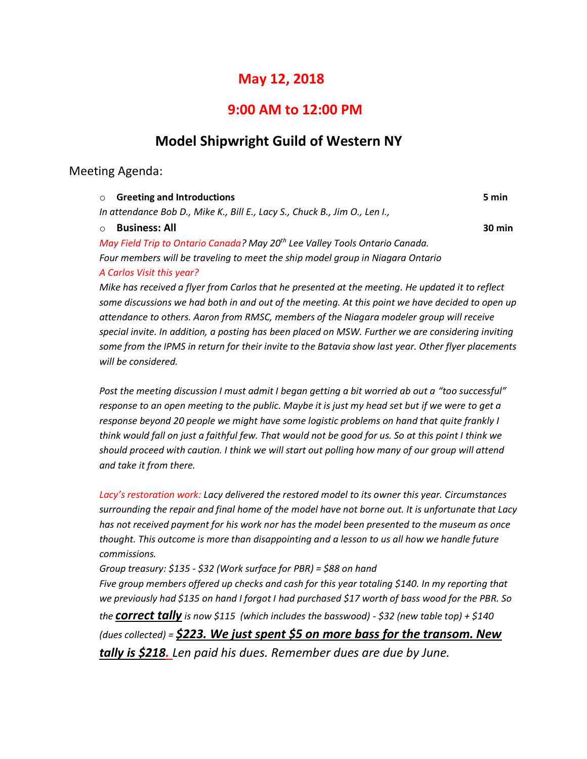# **May 12, 2018**

## **9:00 AM to 12:00 PM**

# **Model Shipwright Guild of Western NY**

## Meeting Agenda:

| <b>Greeting and Introductions</b><br>$\Omega$                                           | 5 min  |
|-----------------------------------------------------------------------------------------|--------|
| In attendance Bob D., Mike K., Bill E., Lacy S., Chuck B., Jim O., Len I.,              |        |
| <b>Business: All</b>                                                                    | 30 min |
| May Field Trip to Ontario Canada? May 20 <sup>th</sup> Lee Valley Tools Ontario Canada. |        |
| Four members will be traveling to meet the ship model group in Niagara Ontario          |        |
| A Carlos Visit this year?                                                               |        |

*Mike has received a flyer from Carlos that he presented at the meeting. He updated it to reflect some discussions we had both in and out of the meeting. At this point we have decided to open up attendance to others. Aaron from RMSC, members of the Niagara modeler group will receive*  special invite. In addition, a posting has been placed on MSW. Further we are considering inviting *some from the IPMS in return for their invite to the Batavia show last year. Other flyer placements will be considered.*

*Post the meeting discussion I must admit I began getting a bit worried ab out a "too successful" response to an open meeting to the public. Maybe it is just my head set but if we were to get a response beyond 20 people we might have some logistic problems on hand that quite frankly I think would fall on just a faithful few. That would not be good for us. So at this point I think we should proceed with caution. I think we will start out polling how many of our group will attend and take it from there.*

*Lacy's restoration work: Lacy delivered the restored model to its owner this year. Circumstances surrounding the repair and final home of the model have not borne out. It is unfortunate that Lacy has not received payment for his work nor has the model been presented to the museum as once thought. This outcome is more than disappointing and a lesson to us all how we handle future commissions.*

*Group treasury: \$135 - \$32 (Work surface for PBR) = \$88 on hand Five group members offered up checks and cash for this year totaling \$140. In my reporting that we previously had \$135 on hand I forgot I had purchased \$17 worth of bass wood for the PBR. So the correct tally is now \$115 (which includes the basswood) - \$32 (new table top) + \$140 (dues collected) = \$223. We just spent \$5 on more bass for the transom. New tally is \$218. Len paid his dues. Remember dues are due by June.*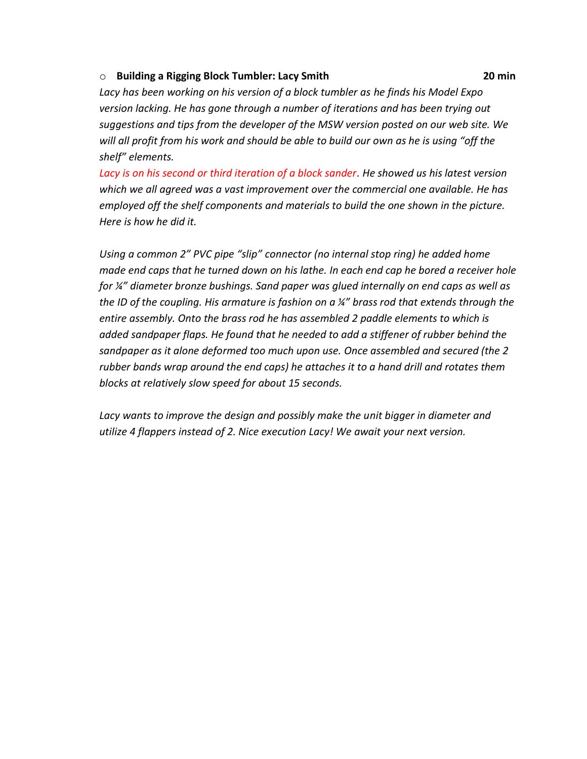## o **Building a Rigging Block Tumbler: Lacy Smith 20 min**

*Lacy has been working on his version of a block tumbler as he finds his Model Expo version lacking. He has gone through a number of iterations and has been trying out suggestions and tips from the developer of the MSW version posted on our web site. We will all profit from his work and should be able to build our own as he is using "off the shelf" elements.*

*Lacy is on his second or third iteration of a block sander. He showed us his latest version which we all agreed was a vast improvement over the commercial one available. He has employed off the shelf components and materials to build the one shown in the picture. Here is how he did it.*

*Using a common 2" PVC pipe "slip" connector (no internal stop ring) he added home made end caps that he turned down on his lathe. In each end cap he bored a receiver hole for ¼" diameter bronze bushings. Sand paper was glued internally on end caps as well as the ID of the coupling. His armature is fashion on a ¼" brass rod that extends through the entire assembly. Onto the brass rod he has assembled 2 paddle elements to which is added sandpaper flaps. He found that he needed to add a stiffener of rubber behind the sandpaper as it alone deformed too much upon use. Once assembled and secured (the 2 rubber bands wrap around the end caps) he attaches it to a hand drill and rotates them blocks at relatively slow speed for about 15 seconds.*

Lacy wants to improve the design and possibly make the unit bigger in diameter and *utilize 4 flappers instead of 2. Nice execution Lacy! We await your next version.*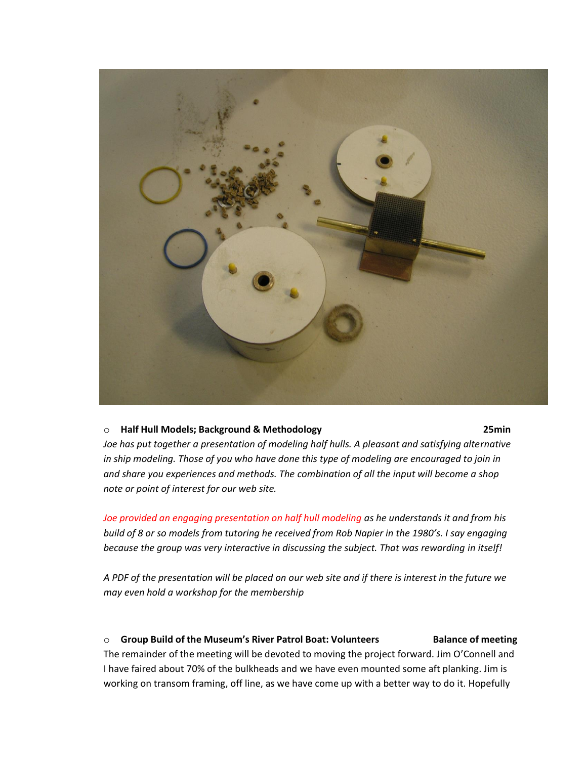

### o **Half Hull Models; Background & Methodology 25min**

*Joe has put together a presentation of modeling half hulls. A pleasant and satisfying alternative in ship modeling. Those of you who have done this type of modeling are encouraged to join in and share you experiences and methods. The combination of all the input will become a shop note or point of interest for our web site.*

*Joe provided an engaging presentation on half hull modeling as he understands it and from his build of 8 or so models from tutoring he received from Rob Napier in the 1980's. I say engaging because the group was very interactive in discussing the subject. That was rewarding in itself!*

*A PDF of the presentation will be placed on our web site and if there is interest in the future we may even hold a workshop for the membership*

#### o **Group Build of the Museum's River Patrol Boat: Volunteers Balance of meeting**

The remainder of the meeting will be devoted to moving the project forward. Jim O'Connell and I have faired about 70% of the bulkheads and we have even mounted some aft planking. Jim is working on transom framing, off line, as we have come up with a better way to do it. Hopefully